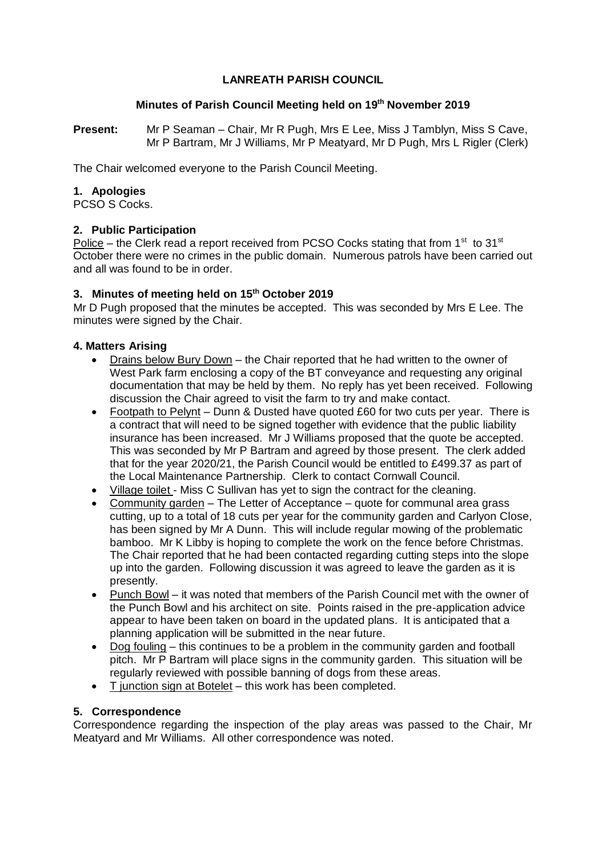# **LANREATH PARISH COUNCIL**

## **Minutes of Parish Council Meeting held on 19th November 2019**

**Present:** Mr P Seaman – Chair, Mr R Pugh, Mrs E Lee, Miss J Tamblyn, Miss S Cave, Mr P Bartram, Mr J Williams, Mr P Meatyard, Mr D Pugh, Mrs L Rigler (Clerk)

The Chair welcomed everyone to the Parish Council Meeting.

# **1. Apologies**

PCSO S Cocks.

# **2. Public Participation**

Police – the Clerk read a report received from PCSO Cocks stating that from  $1<sup>st</sup>$  to 31<sup>st</sup> October there were no crimes in the public domain. Numerous patrols have been carried out and all was found to be in order.

# **3. Minutes of meeting held on 15th October 2019**

Mr D Pugh proposed that the minutes be accepted. This was seconded by Mrs E Lee. The minutes were signed by the Chair.

# **4. Matters Arising**

- Drains below Bury Down the Chair reported that he had written to the owner of West Park farm enclosing a copy of the BT conveyance and requesting any original documentation that may be held by them. No reply has yet been received. Following discussion the Chair agreed to visit the farm to try and make contact.
- Footpath to Pelynt Dunn & Dusted have quoted £60 for two cuts per year. There is a contract that will need to be signed together with evidence that the public liability insurance has been increased. Mr J Williams proposed that the quote be accepted. This was seconded by Mr P Bartram and agreed by those present. The clerk added that for the year 2020/21, the Parish Council would be entitled to £499.37 as part of the Local Maintenance Partnership. Clerk to contact Cornwall Council.
- Village toilet Miss C Sullivan has yet to sign the contract for the cleaning.
- Community garden The Letter of Acceptance quote for communal area grass cutting, up to a total of 18 cuts per year for the community garden and Carlyon Close, has been signed by Mr A Dunn. This will include regular mowing of the problematic bamboo. Mr K Libby is hoping to complete the work on the fence before Christmas. The Chair reported that he had been contacted regarding cutting steps into the slope up into the garden. Following discussion it was agreed to leave the garden as it is presently.
- Punch Bowl it was noted that members of the Parish Council met with the owner of the Punch Bowl and his architect on site. Points raised in the pre-application advice appear to have been taken on board in the updated plans. It is anticipated that a planning application will be submitted in the near future.
- Dog fouling this continues to be a problem in the community garden and football pitch. Mr P Bartram will place signs in the community garden. This situation will be regularly reviewed with possible banning of dogs from these areas.
- T junction sign at Botelet this work has been completed.

## **5. Correspondence**

Correspondence regarding the inspection of the play areas was passed to the Chair, Mr Meatyard and Mr Williams. All other correspondence was noted.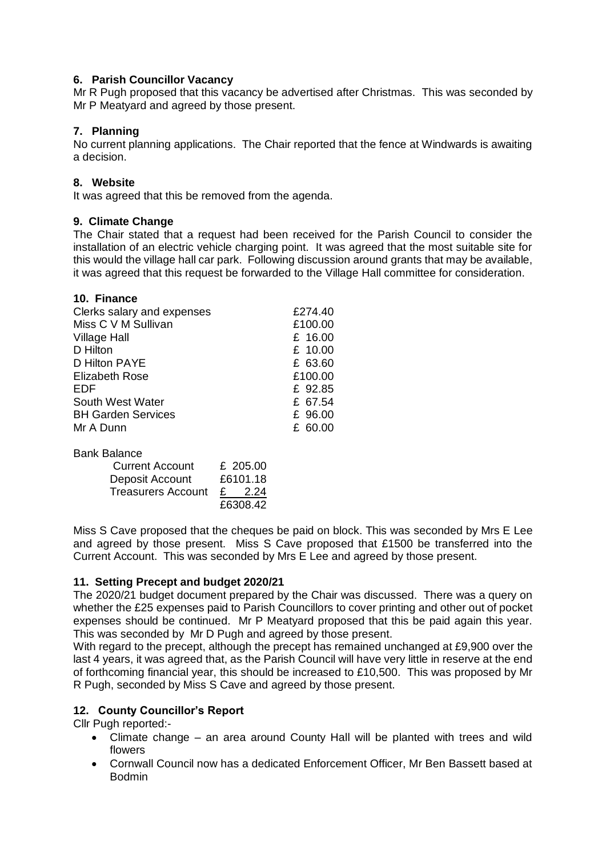# **6. Parish Councillor Vacancy**

Mr R Pugh proposed that this vacancy be advertised after Christmas. This was seconded by Mr P Meatyard and agreed by those present.

# **7. Planning**

No current planning applications. The Chair reported that the fence at Windwards is awaiting a decision.

## **8. Website**

It was agreed that this be removed from the agenda.

## **9. Climate Change**

The Chair stated that a request had been received for the Parish Council to consider the installation of an electric vehicle charging point. It was agreed that the most suitable site for this would the village hall car park. Following discussion around grants that may be available, it was agreed that this request be forwarded to the Village Hall committee for consideration.

| 10. Finance                |         |
|----------------------------|---------|
| Clerks salary and expenses | £274.40 |
| Miss C V M Sullivan        | £100.00 |
| <b>Village Hall</b>        | £ 16.00 |
| D Hilton                   | £ 10.00 |
| D Hilton PAYE              | £ 63.60 |
| <b>Elizabeth Rose</b>      | £100.00 |
| EDF                        | £ 92.85 |
| South West Water           | £ 67.54 |
| <b>BH Garden Services</b>  | £ 96.00 |
| Mr A Dunn                  | £ 60.00 |
| <b>Bank Balance</b>        |         |

| ---------------           |                        |
|---------------------------|------------------------|
| <b>Current Account</b>    | £ 205.00               |
| Deposit Account           | £6101.18               |
| <b>Treasurers Account</b> | - 2.24<br>$\mathbf{f}$ |
|                           | £6308.42               |

Miss S Cave proposed that the cheques be paid on block. This was seconded by Mrs E Lee and agreed by those present. Miss S Cave proposed that £1500 be transferred into the Current Account. This was seconded by Mrs E Lee and agreed by those present.

## **11. Setting Precept and budget 2020/21**

The 2020/21 budget document prepared by the Chair was discussed. There was a query on whether the £25 expenses paid to Parish Councillors to cover printing and other out of pocket expenses should be continued. Mr P Meatyard proposed that this be paid again this year. This was seconded by Mr D Pugh and agreed by those present.

With regard to the precept, although the precept has remained unchanged at £9,900 over the last 4 years, it was agreed that, as the Parish Council will have very little in reserve at the end of forthcoming financial year, this should be increased to £10,500. This was proposed by Mr R Pugh, seconded by Miss S Cave and agreed by those present.

## **12. County Councillor's Report**

Cllr Pugh reported:-

- Climate change an area around County Hall will be planted with trees and wild flowers
- Cornwall Council now has a dedicated Enforcement Officer, Mr Ben Bassett based at Bodmin